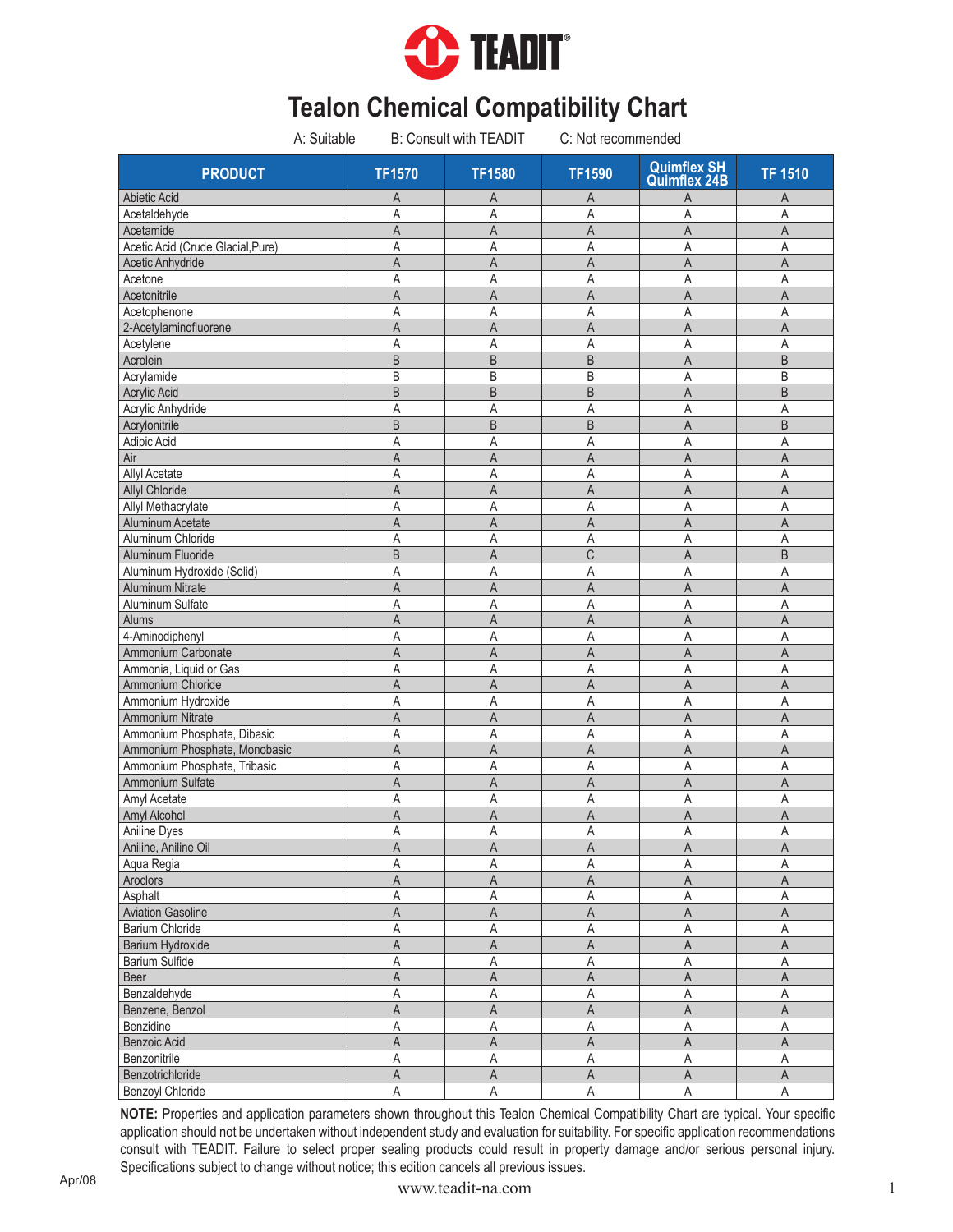

| A: Suitable                      | <b>B: Consult with TEADIT</b> |                | C: Not recommended |                                           |                         |
|----------------------------------|-------------------------------|----------------|--------------------|-------------------------------------------|-------------------------|
| <b>PRODUCT</b>                   | <b>TF1570</b>                 | <b>TF1580</b>  | <b>TF1590</b>      | <b>Quimflex SH</b><br><b>Quimflex 24B</b> | <b>TF 1510</b>          |
| <b>Abietic Acid</b>              | Α                             | Α              | A                  | A                                         | A                       |
| Acetaldehyde                     | A                             | A              | Α                  | A                                         | A                       |
| Acetamide                        | A                             | A              | A                  | A                                         | A                       |
| Acetic Acid (Crude.Glacial.Pure) | Α                             | Α              | Α                  | A                                         | A                       |
| Acetic Anhydride                 | A                             | A              | A                  | A                                         | $\overline{A}$          |
| Acetone                          | Α                             | A              | A                  | A                                         | A                       |
| Acetonitrile                     | A                             | A              | A                  | A                                         | A                       |
| Acetophenone                     | A                             | A              | A                  | Α                                         | A                       |
| 2-Acetylaminofluorene            | A                             | A              | $\overline{A}$     | A                                         | A                       |
| Acetylene                        | A                             | A              | A                  | A                                         | A                       |
| Acrolein                         | B                             | B              | B                  | A                                         | $\sf B$                 |
| Acrylamide                       | B                             | B              | B                  | Α                                         | B                       |
| Acrylic Acid                     | $\overline{B}$                | B              | B                  | A                                         | $\sf B$                 |
| Acrylic Anhydride                | Α                             | Α              | Α                  | Α                                         | A                       |
| Acrylonitrile                    | B                             | B              | B                  | A                                         | B                       |
| Adipic Acid                      | A                             | A              | Α                  | A                                         | Α                       |
| Air                              | A                             | A              | A                  | A                                         | A                       |
| <b>Allyl Acetate</b>             | Α                             | Α              | Α                  | A                                         | A                       |
| Allyl Chloride                   | Α                             | Α              | A                  | A                                         | A                       |
| Allyl Methacrylate               | Α                             | A              | Α                  | Α                                         | $\overline{A}$          |
| Aluminum Acetate                 | A                             | A              | A                  | A                                         | A                       |
| Aluminum Chloride                | Α                             | Α              | Α                  | A                                         | $\mathsf{A}$            |
| Aluminum Fluoride                | B                             | A              | C                  | A                                         | B                       |
| Aluminum Hydroxide (Solid)       | A                             | A              | Α                  | A                                         | $\overline{A}$          |
| Aluminum Nitrate                 | A                             | A              | $\overline{A}$     | A                                         | A                       |
| Aluminum Sulfate                 | A                             | Α              | Α                  | A                                         | $\mathsf{A}$            |
| Alums                            | A                             | A              | A                  | A                                         | A                       |
| 4-Aminodiphenyl                  | Α                             | A              | Α                  | A                                         | A                       |
| Ammonium Carbonate               | A                             | A              | A                  | $\overline{A}$                            | $\overline{A}$          |
| Ammonia, Liquid or Gas           | Α                             | Α              | Α                  | A                                         | $\mathsf{A}$            |
| Ammonium Chloride                | A                             | A              | A                  | $\overline{A}$                            | A                       |
| Ammonium Hydroxide               | Α                             | Α              | A                  | Α                                         | Α                       |
| Ammonium Nitrate                 | A                             | A              | $\overline{A}$     | A                                         | $\overline{A}$          |
| Ammonium Phosphate, Dibasic      | Α                             | Α              | Α                  | Α                                         | Α                       |
| Ammonium Phosphate, Monobasic    | A                             | A              | $\overline{A}$     | A                                         | A                       |
| Ammonium Phosphate, Tribasic     | Α                             | Α              | A                  | Α                                         | Α                       |
| Ammonium Sulfate                 | A                             | A              | A                  | A                                         | $\mathsf{A}$            |
| Amyl Acetate                     | Α                             | Α              | Α                  | Α                                         | Α                       |
| Amyl Alcohol                     | A                             | A              | A                  | A                                         | A                       |
| Aniline Dyes                     | A                             | $\mathsf A$    | $\mathsf A$        | $\mathsf A$                               | $\mathsf A$             |
| Aniline, Aniline Oil             | Α                             | Α              | $\mathsf A$        | $\mathsf A$                               | $\mathsf A$             |
| Aqua Regia                       | Α                             | Α              | Α                  | Α                                         | Α                       |
| Aroclors                         | A                             | A              | $\mathsf A$        | A                                         | A                       |
| Asphalt                          | Α                             | Α              | $\mathsf A$        | A                                         | A                       |
| <b>Aviation Gasoline</b>         | Α                             | Α              | Α                  | $\overline{\mathsf{A}}$                   | $\overline{\mathsf{A}}$ |
| <b>Barium Chloride</b>           | Α                             | $\mathsf A$    | Α                  | A                                         | $\mathsf A$             |
| <b>Barium Hydroxide</b>          | A                             | A              | $\mathsf A$        | $\overline{\mathsf{A}}$                   | $\overline{\mathsf{A}}$ |
| Barium Sulfide                   | A                             | $\mathsf A$    | $\mathsf A$        | A                                         | $\mathsf A$             |
| Beer                             | A                             | A              | $\mathsf A$        | $\mathsf A$                               | $\overline{\mathsf{A}}$ |
| Benzaldehyde                     | Α                             | $\mathsf A$    | Α                  | A                                         | $\mathsf A$             |
| Benzene, Benzol                  | $\overline{A}$                | $\overline{A}$ | $\overline{A}$     | $\overline{A}$                            | $\overline{A}$          |
| Benzidine                        | A                             | A              | $\mathsf A$        | A                                         | $\overline{A}$          |
| Benzoic Acid                     | A                             | A              | A                  | $\mathsf A$                               | $\overline{A}$          |
| Benzonitrile                     | Α                             | A              | Α                  | Α                                         | $\mathsf A$             |
| Benzotrichloride                 | A                             | $\overline{A}$ | $\mathsf A$        | $\overline{\mathsf{A}}$                   | $\overline{\mathsf{A}}$ |
| <b>Benzoyl Chloride</b>          | Α                             | $\mathsf A$    | $\mathsf A$        | $\mathsf A$                               | $\mathsf A$             |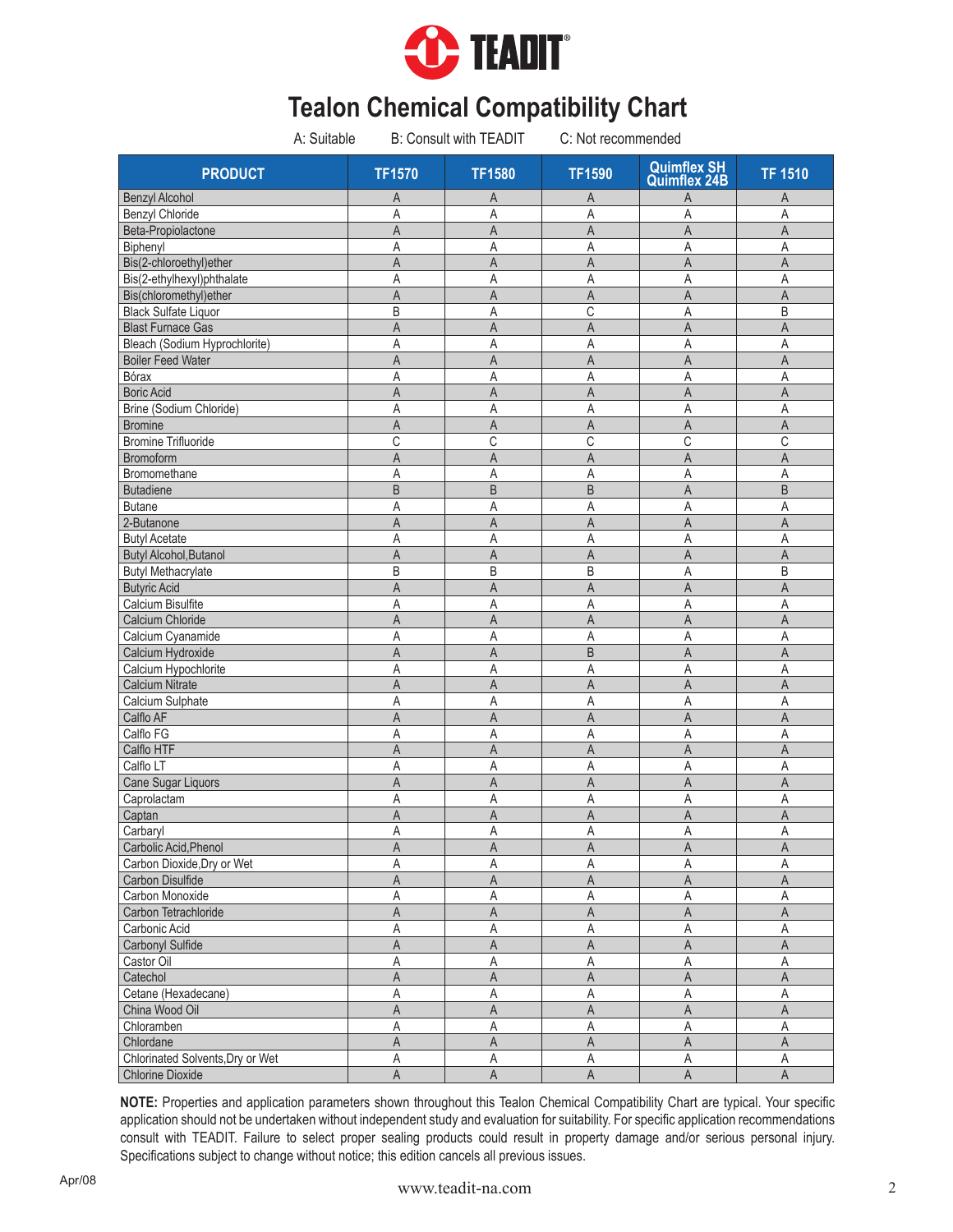

| A: Suitable                      |                | <b>B: Consult with TEADIT</b> | C: Not recommended |                                           |                |
|----------------------------------|----------------|-------------------------------|--------------------|-------------------------------------------|----------------|
| <b>PRODUCT</b>                   | <b>TF1570</b>  | <b>TF1580</b>                 | <b>TF1590</b>      | <b>Quimflex SH</b><br><b>Quimflex 24B</b> | <b>TF 1510</b> |
| <b>Benzyl Alcohol</b>            | Α              | A                             | A                  | A                                         | A              |
| <b>Benzyl Chloride</b>           | Α              | A                             | Α                  | A                                         | A              |
| Beta-Propiolactone               | A              | A                             | A                  | A                                         | A              |
| Biphenyl                         | Α              | Α                             | Α                  | A                                         | A              |
| Bis(2-chloroethyl)ether          | $\overline{A}$ | $\overline{A}$                | A                  | A                                         | A              |
| Bis(2-ethylhexyl)phthalate       | Α              | A                             | A                  | A                                         | A              |
| Bis(chloromethyl)ether           | A              | A                             | A                  | A                                         | $\overline{A}$ |
| <b>Black Sulfate Liquor</b>      | B              | Α                             | С                  | A                                         | B              |
| <b>Blast Furnace Gas</b>         | A              | $\overline{A}$                | $\overline{A}$     | $\overline{A}$                            | A              |
| Bleach (Sodium Hyprochlorite)    | A              | A                             | Α                  | A                                         | A              |
| <b>Boiler Feed Water</b>         | A              | A                             | Α                  | A                                         | A              |
| Bórax                            | Α              | A                             | A                  | A                                         | A              |
| <b>Boric Acid</b>                | A              | A                             | A                  | A                                         | A              |
| Brine (Sodium Chloride)          | Α              | Α                             | Α                  | A                                         | A              |
| <b>Bromine</b>                   | Α              | A                             | A                  | A                                         | A              |
| <b>Bromine Trifluoride</b>       | C              | C                             | С                  | C                                         | C              |
| <b>Bromoform</b>                 | A              | A                             | A                  | $\overline{A}$                            | A              |
| Bromomethane                     | A              | Α                             | Α                  | A                                         | A              |
| <b>Butadiene</b>                 | B              | B                             | B                  | A                                         | B              |
| <b>Butane</b>                    | Α              | A                             | Α                  | Α                                         | A              |
| 2-Butanone                       | A              | A                             | A                  | $\overline{A}$                            | A              |
| <b>Butyl Acetate</b>             | Α              | A                             | Α                  | A                                         | A              |
| <b>Butyl Alcohol, Butanol</b>    | A              | A                             | A                  | A                                         | A              |
| <b>Butyl Methacrylate</b>        | B              | B                             | B                  | A                                         | B              |
| <b>Butyric Acid</b>              | A              | $\overline{A}$                | $\overline{A}$     | $\overline{\mathsf{A}}$                   | A              |
| Calcium Bisulfite                | Α              | A                             | Α                  | A                                         | A              |
| Calcium Chloride                 | A              | A                             | A                  | $\overline{A}$                            | A              |
| Calcium Cyanamide                | A              | Α                             | A                  | A                                         | A              |
| Calcium Hydroxide                | A              | A                             | B                  | $\overline{A}$                            | $\overline{A}$ |
| Calcium Hypochlorite             | Α              | Α                             | Α                  | A                                         | A              |
| Calcium Nitrate                  | A              | A                             | A                  | $\overline{A}$                            | A              |
| Calcium Sulphate                 | Α              | Α                             | A                  | A                                         | Α              |
| Calflo AF                        | A              | A                             | A                  | A                                         | A              |
| Calflo FG                        | A              | A                             | A                  | A                                         | Α              |
| Calflo HTF                       | A              | $\mathsf{A}$                  | A                  | $\overline{A}$                            | A              |
| Calflo LT                        | Α              | Α                             | A                  | A                                         | Α              |
| Cane Sugar Liquors               | A              | A                             | A                  | A                                         | A              |
| Caprolactam                      | Α              | Α                             | A                  | Α                                         | Α              |
| Captan                           | A              | A                             | A                  | A                                         | A              |
| Carbaryl                         | A              |                               | $\mathsf A$        | $\mathsf A$                               | $\mathsf A$    |
|                                  |                | A                             |                    |                                           |                |
| Carbolic Acid, Phenol            | A              | $\mathsf A$                   | A                  | $\mathsf A$                               | A              |
| Carbon Dioxide, Dry or Wet       | Α              | Α                             | Α                  | Α                                         | А              |
| Carbon Disulfide                 | A              | A                             | A                  | $\mathsf A$                               | A              |
| Carbon Monoxide                  | Α              | Α                             | Α                  | Α                                         | $\mathsf A$    |
| Carbon Tetrachloride             | A              | A                             | Α                  | $\mathsf A$                               | $\mathsf A$    |
| Carbonic Acid                    | Α              | Α                             | Α                  | Α                                         | A              |
| Carbonyl Sulfide                 | A              | $\overline{A}$                | $\mathsf A$        | $\mathsf A$                               | $\mathsf A$    |
| Castor Oil                       | Α              | $\mathsf A$                   | Α                  | A                                         | $\overline{A}$ |
| Catechol                         | A              | A                             | A                  | $\mathsf{A}$                              | $\mathsf A$    |
| Cetane (Hexadecane)              | Α              | A                             | Α                  | Α                                         | Α              |
| China Wood Oil                   | A              | $\mathsf{A}$                  | A                  | $\mathsf A$                               | $\overline{A}$ |
| Chloramben                       | Α              | Α                             | Α                  | A                                         | $\overline{A}$ |
| Chlordane                        | A              | $\mathsf A$                   | A                  | $\mathsf A$                               | $\overline{A}$ |
| Chlorinated Solvents, Dry or Wet | Α              | Α                             | Α                  | Α                                         | Α              |
| Chlorine Dioxide                 | $\overline{A}$ | $\overline{A}$                | A                  | $\overline{A}$                            | $\overline{A}$ |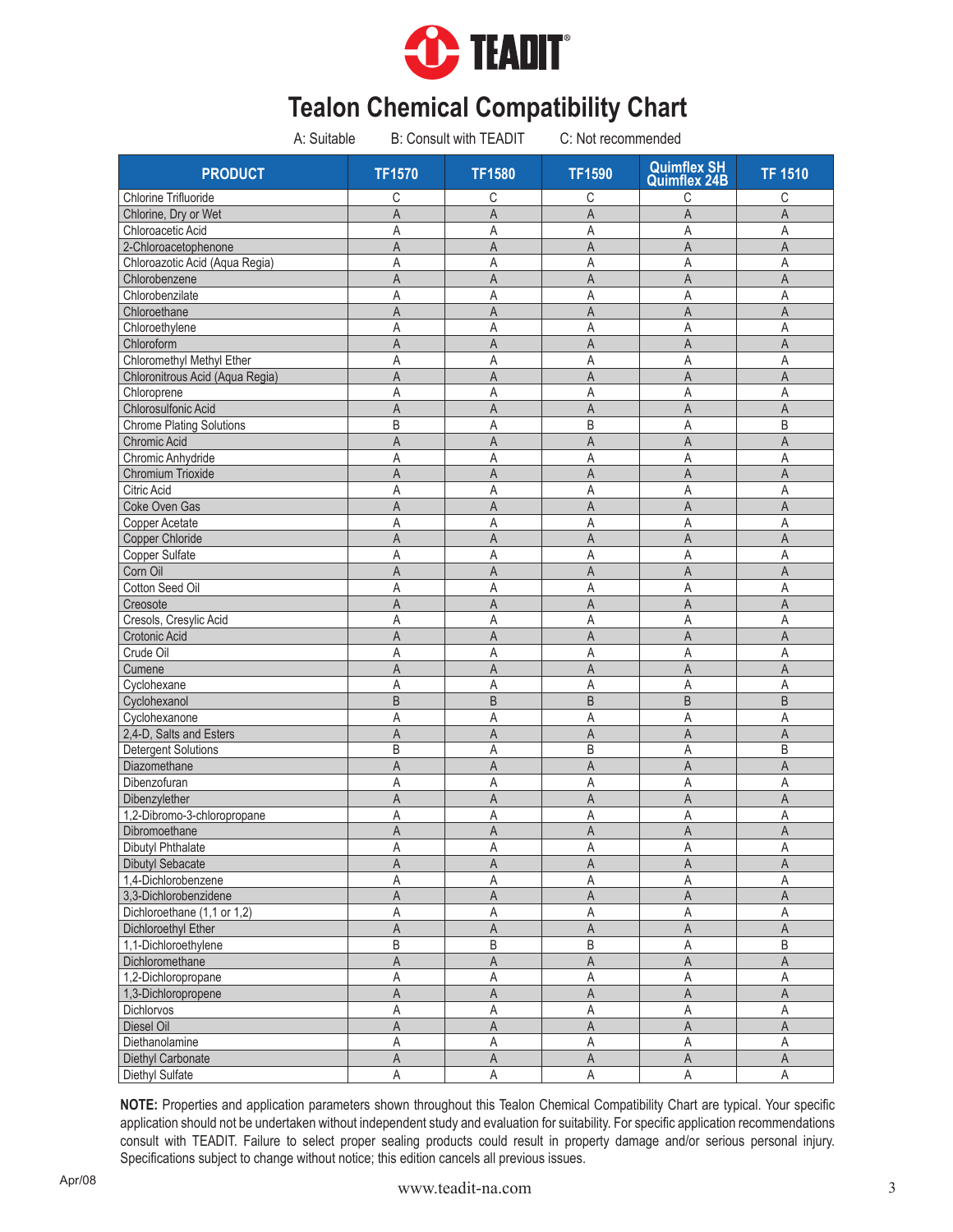

|                                 | A: Suitable<br><b>B: Consult with TEADIT</b> |                | C: Not recommended      |                                           |                |
|---------------------------------|----------------------------------------------|----------------|-------------------------|-------------------------------------------|----------------|
| <b>PRODUCT</b>                  | <b>TF1570</b>                                | <b>TF1580</b>  | <b>TF1590</b>           | <b>Quimflex SH</b><br><b>Quimflex 24B</b> | <b>TF 1510</b> |
| <b>Chlorine Trifluoride</b>     | С                                            | С              | С                       | С                                         | С              |
| Chlorine, Dry or Wet            | $\overline{A}$                               | A              | $\overline{A}$          | A                                         | $\overline{A}$ |
| Chloroacetic Acid               | A                                            | Α              | Α                       | Α                                         | Α              |
| 2-Chloroacetophenone            | A                                            | A              | $\overline{A}$          | A                                         | $\mathsf A$    |
| Chloroazotic Acid (Aqua Regia)  | Α                                            | A              | A                       | Α                                         | A              |
| Chlorobenzene                   | $\overline{A}$                               | A              | A                       | A                                         | $\overline{A}$ |
| Chlorobenzilate                 | A                                            | Α              | Α                       | Α                                         | Α              |
| Chloroethane                    | $\overline{A}$                               | A              | A                       | A                                         | A              |
| Chloroethylene                  | A                                            | A              | A                       | A                                         | A              |
| Chloroform                      | A                                            | A              | A                       | A                                         | $\overline{A}$ |
| Chloromethyl Methyl Ether       | A                                            | A              | A                       | A                                         | A              |
| Chloronitrous Acid (Aqua Regia) | A                                            | A              | A                       | A                                         | $\mathsf A$    |
| Chloroprene                     | A                                            | Α              | Α                       | Α                                         | Α              |
| Chlorosulfonic Acid             | $\overline{A}$                               | A              | A                       | A                                         | $\overline{A}$ |
|                                 |                                              |                |                         |                                           |                |
| <b>Chrome Plating Solutions</b> | B                                            | Α              | B                       | Α                                         | B              |
| Chromic Acid                    | $\overline{A}$                               | A              | $\overline{A}$          | A                                         | $\overline{A}$ |
| Chromic Anhydride               | A                                            | Α              | Α                       | A                                         | A              |
| Chromium Trioxide               | $\overline{A}$                               | A              | A                       | A                                         | $\mathsf A$    |
| <b>Citric Acid</b>              | A                                            | A              | A                       | A                                         | $\overline{A}$ |
| Coke Oven Gas                   | A                                            | $\overline{A}$ | A                       | A                                         | $\mathsf A$    |
| Copper Acetate                  | A                                            | A              | $\mathsf A$             | A                                         | $\overline{A}$ |
| Copper Chloride                 | $\overline{A}$                               | $\overline{A}$ | A                       | A                                         | $\overline{A}$ |
| Copper Sulfate                  | A                                            | Α              | Α                       | A                                         | $\mathsf{A}$   |
| Corn Oil                        | $\overline{A}$                               | A              | $\overline{A}$          | $\overline{A}$                            | $\mathsf A$    |
| Cotton Seed Oil                 | A                                            | A              | A                       | A                                         | $\overline{A}$ |
| Creosote                        | $\overline{A}$                               | A              | A                       | A                                         | $\mathsf A$    |
| Cresols, Cresylic Acid          | A                                            | A              | Α                       | Α                                         | A              |
| Crotonic Acid                   | $\overline{A}$                               | $\overline{A}$ | $\overline{A}$          | $\overline{A}$                            | $\overline{A}$ |
| Crude Oil                       | A                                            | A              | A                       | Α                                         | A              |
| Cumene                          | $\overline{A}$                               | $\overline{A}$ | A                       | A                                         | $\mathsf A$    |
| Cyclohexane                     | A                                            | Α              | A                       | A                                         | A              |
| Cyclohexanol                    | $\overline{B}$                               | B              | B                       | $\overline{B}$                            | $\sf B$        |
| Cyclohexanone                   | A                                            | A              | Α                       | A                                         | A              |
| 2,4-D, Salts and Esters         | A                                            | A              | A                       | A                                         | $\overline{A}$ |
| <b>Detergent Solutions</b>      | B                                            | A              | B                       | Α                                         | B              |
| Diazomethane                    | $\overline{A}$                               | A              | A                       | A                                         | $\mathsf A$    |
| Dibenzofuran                    | A                                            | Α              | Α                       | Α                                         | A              |
| Dibenzylether                   | A                                            | A              | A                       | A                                         | A              |
| 1,2-Dibromo-3-chloropropane     | A                                            | A              | Α                       | A                                         | Α              |
| Dibromoethane                   | $\mathsf A$                                  | $\mathsf{A}$   | $\overline{\mathsf{A}}$ | $\mathsf{A}$                              | $\overline{A}$ |
|                                 | Α                                            |                |                         | A                                         | $\mathsf A$    |
| Dibutyl Phthalate               |                                              | Α              | Α                       |                                           |                |
| <b>Dibutyl Sebacate</b>         | A                                            | Α              | Α                       | Α                                         | Α              |
| 1,4-Dichlorobenzene             | Α                                            | Α              | Α                       | Α                                         | Α              |
| 3,3-Dichlorobenzidene           | A                                            | A              | A                       | A                                         | A              |
| Dichloroethane (1,1 or 1,2)     | Α                                            | Α              | Α                       | A                                         | $\mathsf{A}$   |
| Dichloroethyl Ether             | A                                            | A              | A                       | A                                         | $\mathsf A$    |
| 1,1-Dichloroethylene            | B                                            | $\sf B$        | $\sf B$                 | A                                         | $\sf B$        |
| Dichloromethane                 | $\mathsf A$                                  | $\mathsf{A}$   | $\mathsf A$             | A                                         | $\mathsf A$    |
| 1,2-Dichloropropane             | Α                                            | Α              | $\mathsf A$             | A                                         | $\mathsf A$    |
| 1,3-Dichloropropene             | A                                            | A              | A                       | A                                         | A              |
| Dichlorvos                      | Α                                            | A              | $\mathsf A$             | Α                                         | $\overline{A}$ |
| Diesel Oil                      | $\mathsf A$                                  | $\mathsf{A}$   | $\overline{A}$          | $\overline{\mathsf{A}}$                   | $\overline{A}$ |
| Diethanolamine                  | Α                                            | Α              | Α                       | A                                         | $\mathsf A$    |
| Diethyl Carbonate               | $\mathsf A$                                  | $\mathsf A$    | $\mathsf A$             | $\mathsf A$                               | $\mathsf A$    |
| Diethyl Sulfate                 | A                                            | A              | A                       | A                                         | A              |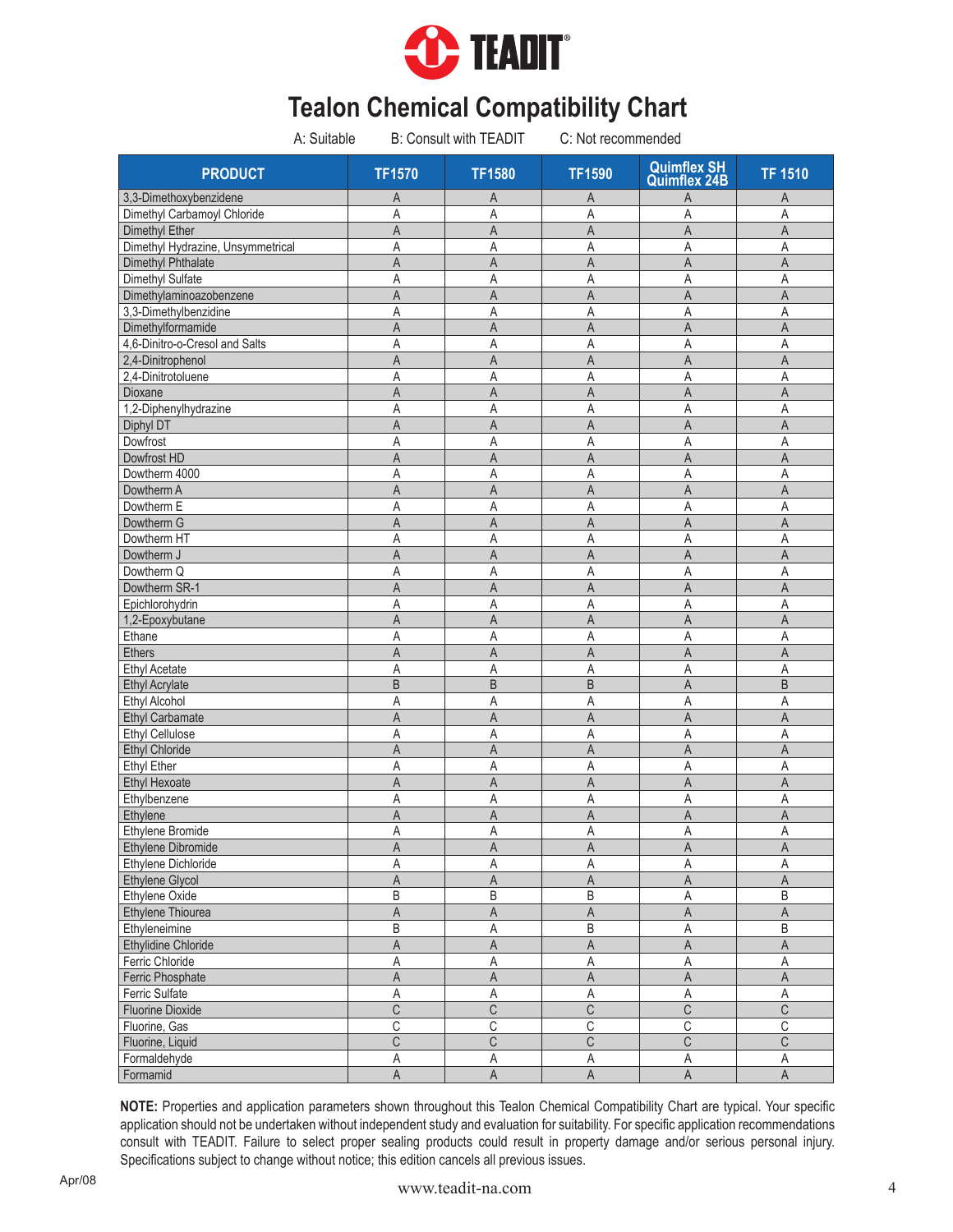

| A: Suitable                       | <b>B: Consult with TEADIT</b> |                         | C: Not recommended      |                                           |                         |  |
|-----------------------------------|-------------------------------|-------------------------|-------------------------|-------------------------------------------|-------------------------|--|
| <b>PRODUCT</b>                    | <b>TF1570</b>                 | <b>TF1580</b>           | <b>TF1590</b>           | <b>Quimflex SH</b><br><b>Quimflex 24B</b> | <b>TF 1510</b>          |  |
| 3,3-Dimethoxybenzidene            | A                             | Α                       | A                       | Α                                         | A                       |  |
| Dimethyl Carbamoyl Chloride       | A                             | Α                       | Α                       | A                                         | A                       |  |
| Dimethyl Ether                    | A                             | A                       | A                       | A                                         | $\mathsf A$             |  |
| Dimethyl Hydrazine, Unsymmetrical | A                             | Α                       | Α                       | Α                                         | A                       |  |
| Dimethyl Phthalate                | $\overline{A}$                | $\overline{A}$          | A                       | $\overline{A}$                            | $\overline{A}$          |  |
| Dimethyl Sulfate                  | A                             | A                       | Α                       | Α                                         | A                       |  |
| Dimethylaminoazobenzene           | $\overline{A}$                | A                       | $\overline{A}$          | A                                         | A                       |  |
| 3,3-Dimethylbenzidine             | A                             | Α                       | A                       | Α                                         | A                       |  |
| Dimethylformamide                 | $\overline{A}$                | A                       | $\overline{A}$          | A                                         | A                       |  |
| 4,6-Dinitro-o-Cresol and Salts    | A                             | Α                       | A                       | A                                         | A                       |  |
| 2,4-Dinitrophenol                 | $\overline{A}$                | A                       | A                       | A                                         | A                       |  |
| 2,4-Dinitrotoluene                | A                             | Α                       | Α                       | Α                                         | Α                       |  |
| Dioxane                           | A                             | A                       | A                       | A                                         | A                       |  |
| 1,2-Diphenylhydrazine             | A                             | Α                       | Α                       | A                                         | A                       |  |
| Diphyl DT                         | A                             | A                       | A                       | Α                                         | A                       |  |
| Dowfrost                          | A                             | A                       | Α                       | A                                         | Α                       |  |
| Dowfrost HD                       | A                             | A                       | A                       | A                                         | A                       |  |
| Dowtherm 4000                     | A                             | Α                       | Α                       | A                                         | A                       |  |
| Dowtherm A                        | A                             | A                       | A                       | A                                         | A                       |  |
| Dowtherm E                        | A                             | A                       | A                       | Α                                         | $\overline{A}$          |  |
| Dowtherm G                        | A                             | A                       | A                       | A                                         | A                       |  |
| Dowtherm HT                       | A                             | A                       | Α                       | Α                                         | $\overline{A}$          |  |
| Dowtherm J                        | A                             | A                       | A                       | A                                         | A                       |  |
| Dowtherm Q                        | A                             | A                       | Α                       | A                                         | $\overline{A}$          |  |
| Dowtherm SR-1                     | $\overline{A}$                | A                       | $\overline{A}$          | A                                         | $\mathsf A$             |  |
| Epichlorohydrin                   | A                             | Α                       | Α                       | A                                         | $\mathsf{A}$            |  |
| 1,2-Epoxybutane                   | $\overline{A}$                | A                       | $\overline{A}$          | A                                         | $\mathsf A$             |  |
| Ethane                            | A                             | A                       | A                       | Α                                         | A                       |  |
|                                   |                               |                         |                         | $\overline{A}$                            | $\overline{A}$          |  |
| <b>Ethers</b>                     | $\overline{A}$                | A                       | $\overline{A}$          |                                           |                         |  |
| <b>Ethyl Acetate</b>              | Α                             | A                       | Α                       | Α                                         | A                       |  |
| <b>Ethyl Acrylate</b>             | B                             | B                       | B                       | A                                         | B                       |  |
| Ethyl Alcohol                     | A                             | A                       | A                       | Α                                         | A                       |  |
| <b>Ethyl Carbamate</b>            | A                             | A                       | A                       | A                                         | $\overline{A}$          |  |
| <b>Ethyl Cellulose</b>            | A                             | Α                       | Α                       | Α                                         | Α                       |  |
| Ethyl Chloride                    | $\overline{A}$                | A                       | A                       | A                                         | $\mathsf A$             |  |
| <b>Ethyl Ether</b>                | A                             | Α                       | Α                       | A                                         | A                       |  |
| <b>Ethyl Hexoate</b>              | A                             | A                       | A                       | A                                         | A                       |  |
| Ethylbenzene                      | A                             | Α                       | A                       | Α                                         | Α                       |  |
| Ethylene                          | $\mathsf A$                   | A                       | A                       | A                                         | A                       |  |
| Ethylene Bromide                  | A                             | $\mathsf A$             | $\mathsf A$             | $\mathsf A$                               | $\mathsf A$             |  |
| Ethylene Dibromide                | A                             | $\mathsf A$             | $\mathsf A$             | $\mathsf A$                               | $\overline{A}$          |  |
| Ethylene Dichloride               | Α                             | Α                       | А                       | Α                                         | Α                       |  |
| Ethylene Glycol                   | $\overline{A}$                | $\overline{A}$          | $\mathsf A$             | A                                         | $\overline{\mathsf{A}}$ |  |
| Ethylene Oxide                    | B                             | $\sf B$                 | $\sf B$                 | A                                         | $\overline{B}$          |  |
| Ethylene Thiourea                 | A                             | A                       | A                       | $\mathsf A$                               | $\mathsf A$             |  |
| Ethyleneimine                     | B                             | Α                       | B                       | Α                                         | $\sf B$                 |  |
| Ethylidine Chloride               | $\sf A$                       | $\mathsf A$             | $\mathsf A$             | $\overline{\mathsf{A}}$                   | $\overline{\mathsf{A}}$ |  |
| Ferric Chloride                   | A                             | $\mathsf A$             | $\mathsf A$             | A                                         | $\mathsf A$             |  |
| Ferric Phosphate                  | $\mathsf A$                   | $\mathsf{A}$            | $\mathsf A$             | $\mathsf A$                               | $\mathsf A$             |  |
| Ferric Sulfate                    | Α                             | Α                       | A                       | Α                                         | $\mathsf A$             |  |
| <b>Fluorine Dioxide</b>           | $\overline{\mathsf{C}}$       | $\overline{\mathsf{C}}$ | $\overline{C}$          | $\overline{\mathsf{C}}$                   | $\overline{C}$          |  |
| Fluorine, Gas                     | $\overline{\mathbb{C}}$       | $\overline{C}$          | $\overline{\mathbb{C}}$ | $\overline{C}$                            | $\overline{C}$          |  |
| Fluorine, Liquid                  | $\overline{C}$                | C                       | $\overline{\text{C}}$   | $\overline{\mathbb{C}}$                   | $\overline{\mathbb{C}}$ |  |
| Formaldehyde                      | Α                             | Α                       | A                       | Α                                         | A                       |  |
| Formamid                          | $\overline{\mathsf{A}}$       | $\overline{A}$          | $\overline{\mathsf{A}}$ | $\overline{\mathsf{A}}$                   | $\overline{\mathsf{A}}$ |  |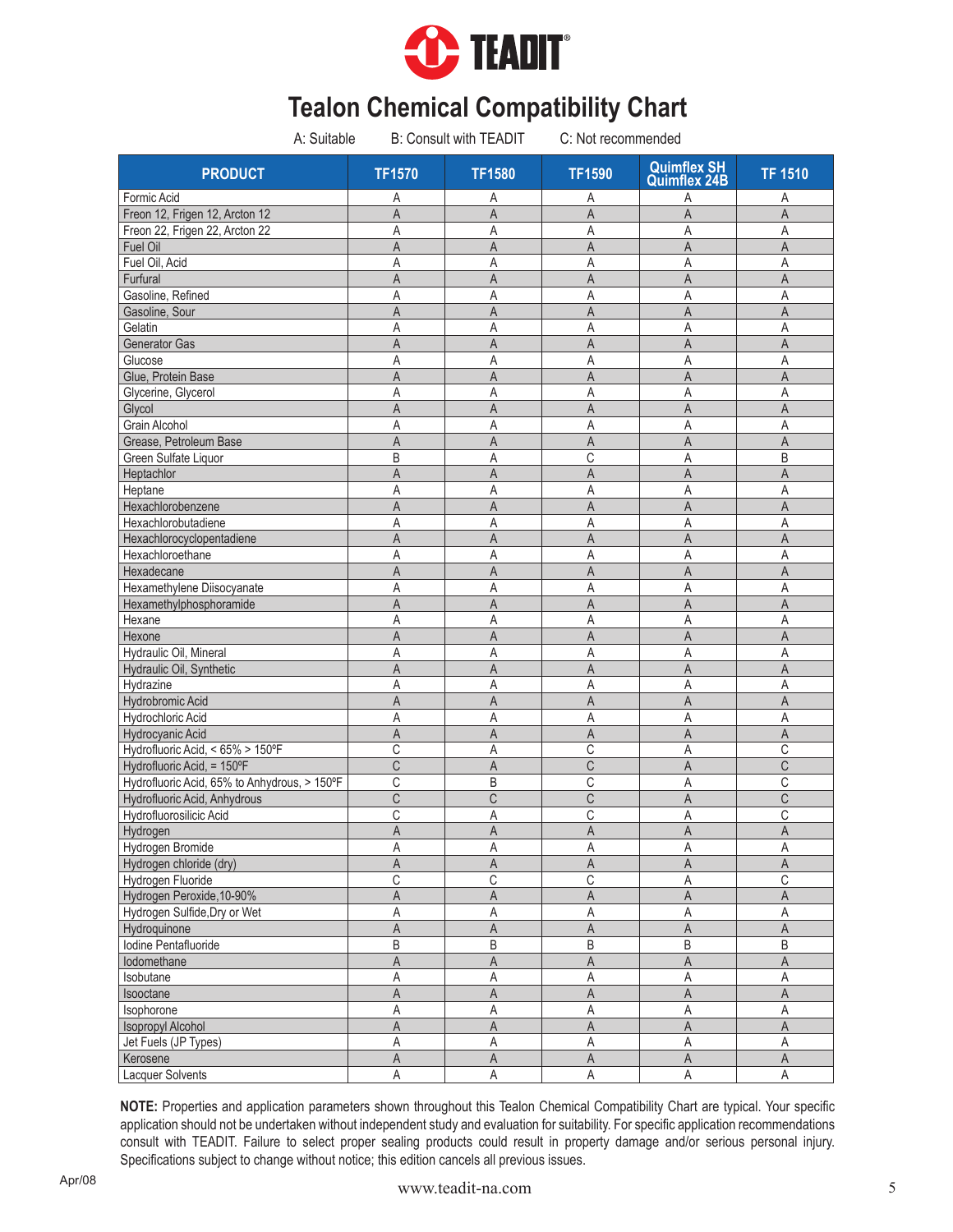

| A: Suitable                                  | <b>B: Consult with TEADIT</b> |                         | C: Not recommended |                                           |                         |
|----------------------------------------------|-------------------------------|-------------------------|--------------------|-------------------------------------------|-------------------------|
| <b>PRODUCT</b>                               | <b>TF1570</b>                 | <b>TF1580</b>           | <b>TF1590</b>      | <b>Quimflex SH</b><br><b>Quimflex 24B</b> | <b>TF 1510</b>          |
| Formic Acid                                  | Α                             | Α                       | Α                  | Α                                         | Α                       |
| Freon 12, Frigen 12, Arcton 12               | $\overline{A}$                | A                       | $\overline{A}$     | $\overline{A}$                            | $\overline{A}$          |
| Freon 22, Frigen 22, Arcton 22               | Α                             | Α                       | Α                  | Α                                         | Α                       |
| Fuel Oil                                     | A                             | A                       | A                  | A                                         | A                       |
| Fuel Oil, Acid                               | A                             | A                       | Α                  | Α                                         | $\overline{A}$          |
| Furfural                                     | A                             | A                       | A                  | A                                         | A                       |
| Gasoline, Refined                            | Α                             | A                       | A                  | Α                                         | Α                       |
| Gasoline, Sour                               | A                             | A                       | $\overline{A}$     | A                                         | A                       |
| Gelatin                                      | Α                             | Α                       | A                  | Α                                         | Α                       |
| Generator Gas                                | A                             | A                       | A                  | A                                         | $\overline{A}$          |
| Glucose                                      | Α                             | Α                       | A                  | Α                                         | Α                       |
| Glue, Protein Base                           | A                             | A                       | A                  | A                                         | A                       |
| Glycerine, Glycerol                          | Α                             | Α                       | Α                  | Α                                         | Α                       |
| Glycol                                       | A                             | A                       | A                  | A                                         | $\overline{A}$          |
| <b>Grain Alcohol</b>                         | Α                             | Α                       | Α                  | Α                                         | A                       |
| Grease, Petroleum Base                       | A                             | A                       | A                  | A                                         | A                       |
| Green Sulfate Liquor                         | B                             | Α                       | C                  | A                                         | B                       |
| Heptachlor                                   | A                             | A                       | A                  | A                                         | A                       |
| Heptane                                      | Α                             | Α                       | Α                  | Α                                         | A                       |
| Hexachlorobenzene                            | A                             | $\overline{A}$          | $\mathsf A$        | A                                         | A                       |
| Hexachlorobutadiene                          | Α                             | Α                       | Α                  | A                                         | $\overline{A}$          |
| Hexachlorocyclopentadiene                    | A                             | A                       | A                  | A                                         | $\overline{A}$          |
| Hexachloroethane                             | Α                             | Α                       | Α                  | Α                                         | $\overline{A}$          |
| Hexadecane                                   | A                             | A                       | $\overline{A}$     | $\overline{A}$                            | $\mathsf A$             |
| Hexamethylene Diisocyanate                   | A                             | A                       | Α                  | A                                         | $\overline{A}$          |
| Hexamethylphosphoramide                      | A                             | A                       | A                  | A                                         | $\mathsf A$             |
| Hexane                                       | Α                             | Α                       | Α                  | A                                         | $\mathsf{A}$            |
| Hexone                                       | A                             | A                       | $\overline{A}$     | A                                         | $\overline{A}$          |
| Hydraulic Oil, Mineral                       | A                             | A                       | Α                  | A                                         | A                       |
| Hydraulic Oil, Synthetic                     | A                             | A                       | A                  | A                                         | A                       |
| Hydrazine                                    | Α                             | A                       | Α                  | A                                         | A                       |
| Hydrobromic Acid                             | A                             | A                       | $\overline{A}$     | A                                         | A                       |
| Hydrochloric Acid                            | A                             | A                       | A                  | A                                         | A                       |
| Hydrocyanic Acid                             | A                             | A                       | A                  | A                                         | $\overline{A}$          |
| Hydrofluoric Acid, < 65% > 150°F             | C                             | A                       | C                  | Α                                         | $\mathsf C$             |
| Hydrofluoric Acid, = 150°F                   | C                             | A                       | $\mathsf C$        | A                                         | $\overline{C}$          |
| Hydrofluoric Acid, 65% to Anhydrous, > 150°F | C                             | B                       | C                  | Α                                         | $\mathsf C$             |
| Hydrofluoric Acid, Anhydrous                 | C                             | C                       | C                  | A                                         | C                       |
| Hydrofluorosilicic Acid                      | C                             | Α                       | С                  | A                                         | C                       |
| Hydrogen                                     | A                             | $\overline{\mathsf{A}}$ | $\mathsf A$        | $\mathsf{A}$                              | A                       |
| Hydrogen Bromide                             | Α                             | Α                       | Α                  | A                                         | $\overline{A}$          |
| Hydrogen chloride (dry)                      | Α                             | Α                       | Α                  | Α                                         | A                       |
| Hydrogen Fluoride                            | С                             | $\mathbb C$             | $\mathsf C$        | A                                         | $\mathbb C$             |
| Hydrogen Peroxide, 10-90%                    | A                             | $\overline{A}$          | $\mathsf A$        | $\mathsf A$                               | $\mathsf A$             |
| Hydrogen Sulfide, Dry or Wet                 | Α                             | A                       | A                  | A                                         | $\overline{A}$          |
| Hydroquinone                                 | Α                             | A                       | $\mathsf A$        | A                                         | $\mathsf A$             |
| Iodine Pentafluoride                         |                               | $\sf B$                 | $\sf B$            | $\sf B$                                   | $\sf B$                 |
| lodomethane                                  | B<br>A                        | $\mathsf A$             | $\mathsf A$        | $\overline{\mathsf{A}}$                   | $\mathsf A$             |
|                                              |                               |                         |                    |                                           | $\mathsf A$             |
| Isobutane                                    | Α                             | $\mathsf A$             | $\mathsf A$        | $\mathsf A$                               |                         |
| Isooctane                                    | A                             | $\mathsf A$             | A                  | $\mathsf{A}$                              | $\mathsf A$             |
| Isophorone                                   | Α                             | $\overline{A}$          | $\mathsf A$        | $\overline{A}$                            | $\overline{A}$          |
| <b>Isopropyl Alcohol</b>                     | $\overline{\mathsf{A}}$       | $\overline{A}$          | $\overline{A}$     | $\overline{\mathsf{A}}$                   | $\overline{A}$          |
| Jet Fuels (JP Types)                         | Α                             | Α                       | $\mathsf A$        | A                                         | $\overline{\mathsf{A}}$ |
| Kerosene                                     | $\overline{\mathsf{A}}$       | $\mathsf A$             | $\mathsf A$        | $\mathsf A$                               | $\mathsf A$             |
| Lacquer Solvents                             | A                             | A                       | A                  | $\mathsf A$                               | A                       |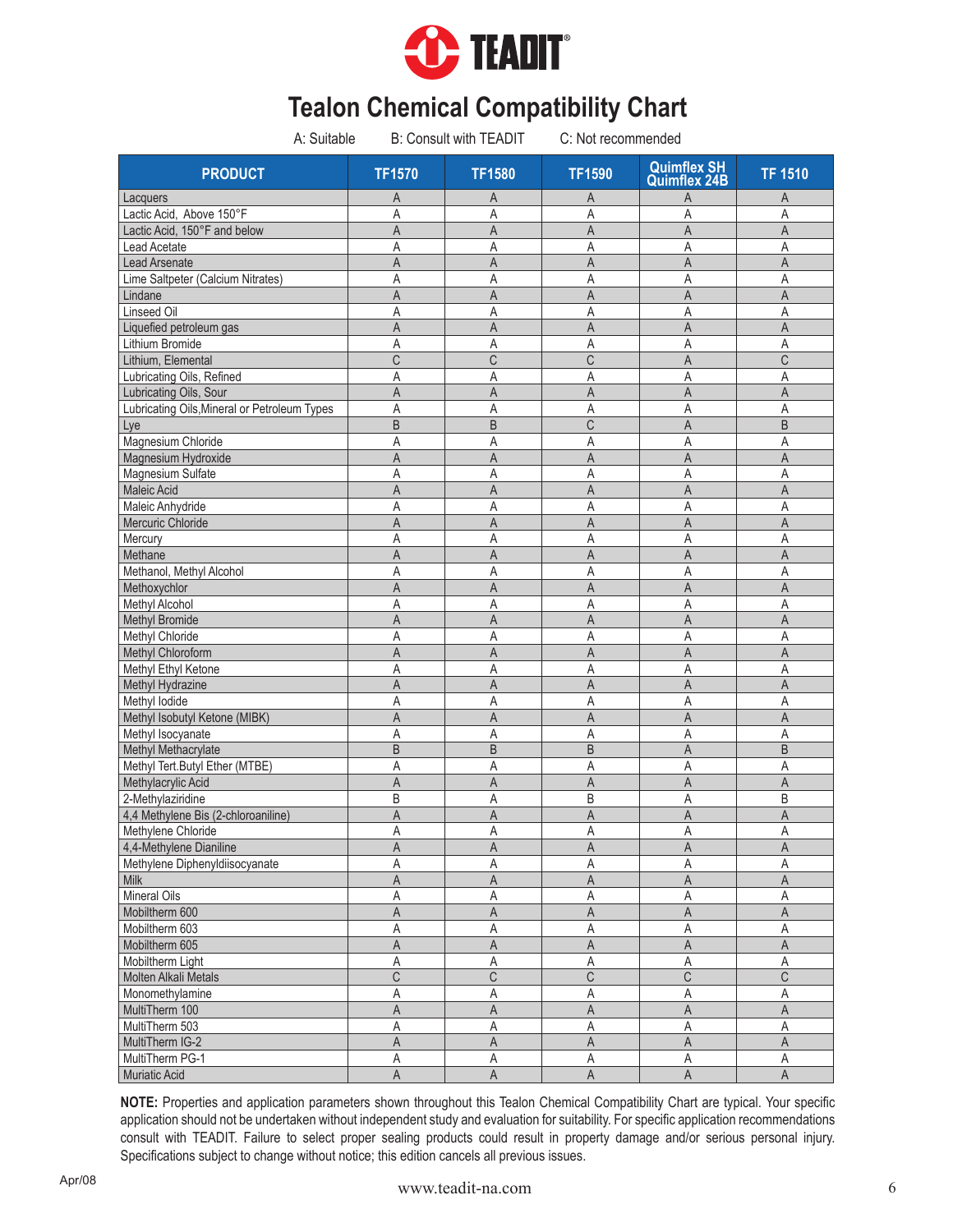

| A: Suitable                                  |                         | <b>B: Consult with TEADIT</b> | C: Not recommended        |                                           |                         |
|----------------------------------------------|-------------------------|-------------------------------|---------------------------|-------------------------------------------|-------------------------|
| <b>PRODUCT</b>                               | <b>TF1570</b>           | <b>TF1580</b>                 | <b>TF1590</b>             | <b>Quimflex SH</b><br><b>Quimflex 24B</b> | <b>TF 1510</b>          |
| Lacquers                                     | A                       | Α                             | A                         | Α                                         | A                       |
| Lactic Acid, Above 150°F                     | A                       | Α                             | Α                         | A                                         | A                       |
| Lactic Acid, 150°F and below                 | A                       | A                             | A                         | A                                         | A                       |
| <b>Lead Acetate</b>                          | A                       | Α                             | Α                         | Α                                         | A                       |
| Lead Arsenate                                | $\overline{A}$          | $\overline{A}$                | A                         | A                                         | $\overline{A}$          |
| Lime Saltpeter (Calcium Nitrates)            | A                       | A                             | Α                         | Α                                         | A                       |
| Lindane                                      | $\overline{A}$          | A                             | A                         | A                                         | A                       |
| Linseed Oil                                  | A                       | A                             | Α                         | Α                                         | A                       |
| Liquefied petroleum gas                      | $\overline{A}$          | A                             | A                         | A                                         | A                       |
| Lithium Bromide                              | A                       | Α                             | A                         | A                                         | A                       |
| Lithium, Elemental                           | C                       | C                             | C                         | A                                         | $\mathsf C$             |
| Lubricating Oils, Refined                    | A                       | Α                             | Α                         | Α                                         | A                       |
| Lubricating Oils, Sour                       | $\overline{A}$          | A                             | A                         | A                                         | $\mathsf A$             |
| Lubricating Oils, Mineral or Petroleum Types | A                       | Α                             | Α                         | Α                                         | A                       |
| Lye                                          | B                       | B                             | C                         | A                                         | B                       |
| Magnesium Chloride                           | A                       | A                             | Α                         | A                                         | A                       |
| Magnesium Hydroxide                          | A                       | A                             | A                         | A                                         | A                       |
| Magnesium Sulfate                            | Α                       | Α                             | Α                         | Α                                         | A                       |
| Maleic Acid                                  | A                       | Α                             | A                         | A                                         | A                       |
| Maleic Anhydride                             | A                       | A                             | A                         | Α                                         | $\mathsf{A}$            |
| Mercuric Chloride                            | A                       | A                             | A                         | A                                         | A                       |
| Mercury                                      | A                       | A                             | Α                         | Α                                         | $\overline{A}$          |
| Methane                                      | A                       | A                             | A                         | A                                         | A                       |
| Methanol, Methyl Alcohol                     | A                       | A                             | Α                         | A                                         | $\overline{A}$          |
| Methoxychlor                                 | $\overline{A}$          | A                             | $\overline{A}$            | A                                         | $\mathsf A$             |
| Methyl Alcohol                               | Α                       | Α                             | Α                         | Α                                         | $\mathsf A$             |
| <b>Methyl Bromide</b>                        | A                       | A                             | $\overline{A}$            | A                                         | $\mathsf A$             |
| Methyl Chloride                              | A                       | Α                             | Α                         | Α                                         | A                       |
| Methyl Chloroform                            | $\overline{A}$          | A                             | $\overline{A}$            | A                                         | $\overline{A}$          |
| Methyl Ethyl Ketone                          | A                       | Α                             | Α                         | Α                                         | Α                       |
| Methyl Hydrazine                             | A                       | A                             |                           | A                                         | $\mathsf A$             |
| Methyl lodide                                | A                       | Α                             | A<br>A                    | Α                                         | A                       |
| Methyl Isobutyl Ketone (MIBK)                | A                       | A                             | A                         | A                                         | A                       |
|                                              |                         |                               |                           | Α                                         | Α                       |
| Methyl Isocyanate                            | Α                       | Α                             | Α                         |                                           | $\sf B$                 |
| Methyl Methacrylate                          | B                       | B                             | B                         | A                                         |                         |
| Methyl Tert.Butyl Ether (MTBE)               | A                       | Α                             | A                         | Α                                         | Α                       |
| Methylacrylic Acid                           | $\overline{A}$          | A                             | A                         | A                                         | $\overline{A}$          |
| 2-Methylaziridine                            | B                       | Α                             | B                         | Α                                         | B                       |
| 4,4 Methylene Bis (2-chloroaniline)          | $\mathsf A$             | A                             | $\overline{A}$            | A                                         | $\mathsf A$             |
| Methylene Chloride                           | A                       | $\mathsf A$                   | $\boldsymbol{\mathsf{A}}$ | $\mathsf A$                               | $\mathsf A$             |
| 4,4-Methylene Dianiline                      | A                       | A                             | $\mathsf A$               | $\mathsf A$                               | $\mathsf A$             |
| Methylene Diphenyldiisocyanate               | Α                       | Α                             | А                         | Α                                         | Α                       |
| Milk                                         | $\overline{A}$          | A                             | $\mathsf A$               | A                                         | $\mathsf A$             |
| Mineral Oils                                 | Α                       | Α                             | $\mathsf A$               | A                                         | A                       |
| Mobiltherm 600                               | A                       | A                             | A                         | $\mathsf A$                               | $\mathsf A$             |
| Mobiltherm 603                               | Α                       | Α                             | Α                         | A                                         | $\mathsf A$             |
| Mobiltherm 605                               | $\mathsf A$             | $\mathsf{A}$                  | $\mathsf A$               | $\mathsf A$                               | $\mathsf A$             |
| Mobiltherm Light                             | A                       | A                             | $\mathsf A$               | A                                         | $\mathsf A$             |
| Molten Alkali Metals                         | C                       | $\mathsf C$                   | $\overline{C}$            | C                                         | $\overline{C}$          |
| Monomethylamine                              | Α                       | Α                             | Α                         | Α                                         | Α                       |
| MultiTherm 100                               | A                       | $\overline{A}$                | $\overline{A}$            | $\overline{A}$                            | $\overline{\mathsf{A}}$ |
| MultiTherm 503                               | Α                       | Α                             | $\mathsf A$               | A                                         | $\overline{A}$          |
| MultiTherm IG-2                              | A                       | A                             | $\mathsf A$               | $\mathsf A$                               | $\mathsf A$             |
| MultiTherm PG-1                              | Α                       | Α                             | Α                         | Α                                         | Α                       |
| Muriatic Acid                                | $\overline{\mathsf{A}}$ | $\overline{A}$                | $\overline{A}$            | $\overline{\mathsf{A}}$                   | $\overline{A}$          |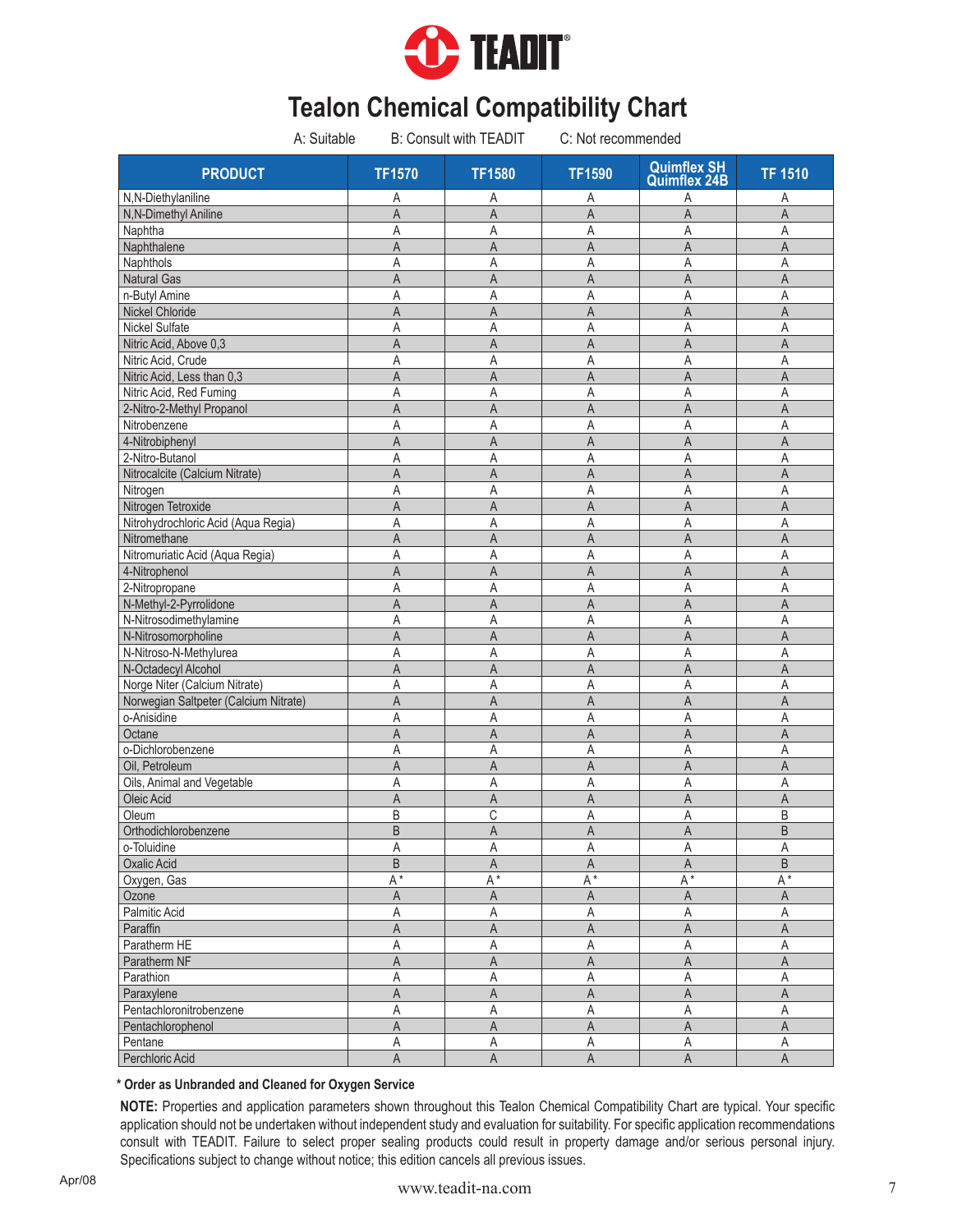

| A: Suitable                           |                     | B: Consult with TEADIT  | C: Not recommended |                                           |                         |
|---------------------------------------|---------------------|-------------------------|--------------------|-------------------------------------------|-------------------------|
| <b>PRODUCT</b>                        | <b>TF1570</b>       | <b>TF1580</b>           | <b>TF1590</b>      | <b>Quimflex SH</b><br><b>Quimflex 24B</b> | <b>TF 1510</b>          |
| N,N-Diethylaniline                    | Α                   | Α                       | Α                  | А                                         | Α                       |
| N,N-Dimethyl Aniline                  | A                   | A                       | Α                  | A                                         | Α                       |
| Naphtha                               | Α                   | Α                       | Α                  | Α                                         | Α                       |
| Naphthalene                           | A                   | A                       | A                  | A                                         | A                       |
| Naphthols                             | Α                   | Α                       | A                  | A                                         | Α                       |
| <b>Natural Gas</b>                    | A                   | A                       | A                  | A                                         | A                       |
| n-Butyl Amine                         | Α                   | Α                       | Α                  | Α                                         | A                       |
| <b>Nickel Chloride</b>                | A                   | $\overline{A}$          | A                  | $\overline{A}$                            | A                       |
| <b>Nickel Sulfate</b>                 | Α                   | Α                       | Α                  | A                                         | A                       |
| Nitric Acid, Above 0,3                | A                   | A                       | A                  | A                                         | $\mathsf A$             |
| Nitric Acid, Crude                    | Α                   | Α                       | Α                  | A                                         | A                       |
| Nitric Acid, Less than 0,3            | A                   | $\mathsf{A}$            | $\overline{A}$     | $\overline{A}$                            | A                       |
| Nitric Acid, Red Fuming               | Α                   | A                       | Α                  | A                                         | A                       |
| 2-Nitro-2-Methyl Propanol             | A                   | A                       | A                  | A                                         | $\overline{A}$          |
| Nitrobenzene                          | Α                   | A                       | Α                  | A                                         | A                       |
| 4-Nitrobiphenyl                       | A                   | $\overline{A}$          | A                  | $\overline{A}$                            | $\overline{A}$          |
| 2-Nitro-Butanol                       | Α                   | A                       | A                  | A                                         | A                       |
| Nitrocalcite (Calcium Nitrate)        | A                   | A                       | A                  | A                                         | A                       |
| Nitrogen                              | Α                   | A                       | Α                  | A                                         | Α                       |
| Nitrogen Tetroxide                    | A                   | $\overline{A}$          | $\overline{A}$     | A                                         | A                       |
| Nitrohydrochloric Acid (Aqua Regia)   | Α                   | A                       | Α                  | A                                         | A                       |
| Nitromethane                          | A                   | A                       | A                  | A                                         | A                       |
| Nitromuriatic Acid (Aqua Regia)       | A                   | Α                       | Α                  | Α                                         | A                       |
| 4-Nitrophenol                         | A                   | A                       | A                  | A                                         | A                       |
| 2-Nitropropane                        | Α                   | A                       | Α                  | A                                         | A                       |
| N-Methyl-2-Pyrrolidone                | Α                   | A                       | A                  | A                                         | Α                       |
| N-Nitrosodimethylamine                | A                   | Α                       | A                  | A                                         | Α                       |
| N-Nitrosomorpholine                   | A                   | A                       | A                  | A                                         | A                       |
| N-Nitroso-N-Methylurea                | Α                   | Α                       | Α                  | Α                                         | Α                       |
| N-Octadecyl Alcohol                   | Α                   | A                       | A                  | A                                         | Α                       |
| Norge Niter (Calcium Nitrate)         | Α                   | Α                       | A                  | A                                         | Α                       |
| Norwegian Saltpeter (Calcium Nitrate) | A                   | A                       | A                  | A                                         | A                       |
| o-Anisidine                           | Α                   | Α                       | Α                  | A                                         | A                       |
| Octane                                | A                   | A                       | A                  | A                                         | A                       |
| o-Dichlorobenzene                     | Α                   | A                       | A                  | A                                         | A                       |
| Oil, Petroleum                        | A                   | $\mathsf{A}$            | A                  | A                                         | A                       |
| Oils, Animal and Vegetable            | Α                   | Α                       | Α                  | A                                         | A                       |
| Oleic Acid                            | A                   | A                       | A                  | A                                         | A                       |
| Oleum                                 | B                   | C                       | A                  | A                                         | B                       |
| Orthodichlorobenzene                  | B                   | A                       | $\mathsf A$        | $\boldsymbol{\mathsf{A}}$                 | $\mathsf B$             |
| o-Toluidine                           | A                   | A                       | A                  | A                                         | $\overline{A}$          |
| Oxalic Acid                           | B                   | $\mathsf A$             | $\mathsf A$        | $\mathsf A$                               | $\overline{\mathsf{B}}$ |
| Oxygen, Gas                           | $A^*$               | $A^*$                   | $A^*$              | $A^*$                                     | $A^*$                   |
| Ozone                                 | A                   | $\mathsf A$             | A                  | $\mathsf{A}$                              | $\mathsf A$             |
| Palmitic Acid                         | Α                   | Α                       | Α                  | Α                                         | $\mathsf A$             |
| Paraffin<br>Paratherm HE              | A                   | $\overline{\mathsf{A}}$ | A                  | $\overline{\mathsf{A}}$                   | A                       |
|                                       | Α                   | Α                       | Α                  | A                                         | Α<br>$\overline{A}$     |
| Paratherm NF<br>Parathion             | A                   | $\mathsf{A}$            | A                  | $\mathsf A$                               |                         |
|                                       | Α<br>$\overline{A}$ | Α<br>$\mathsf{A}$       | Α<br>A             | Α<br>$\mathsf A$                          | Α<br>$\mathsf A$        |
| Paraxylene<br>Pentachloronitrobenzene | Α                   | Α                       | Α                  | A                                         | Α                       |
| Pentachlorophenol                     | A                   | $\mathsf A$             | $\mathsf A$        | $\overline{\mathsf{A}}$                   | $\overline{\mathsf{A}}$ |
| Pentane                               | Α                   | Α                       | Α                  | Α                                         | Α                       |
| Perchloric Acid                       | A                   | $\overline{A}$          | A                  | $\mathsf A$                               | A                       |
|                                       |                     |                         |                    |                                           |                         |

### **\* Order as Unbranded and Cleaned for Oxygen Service**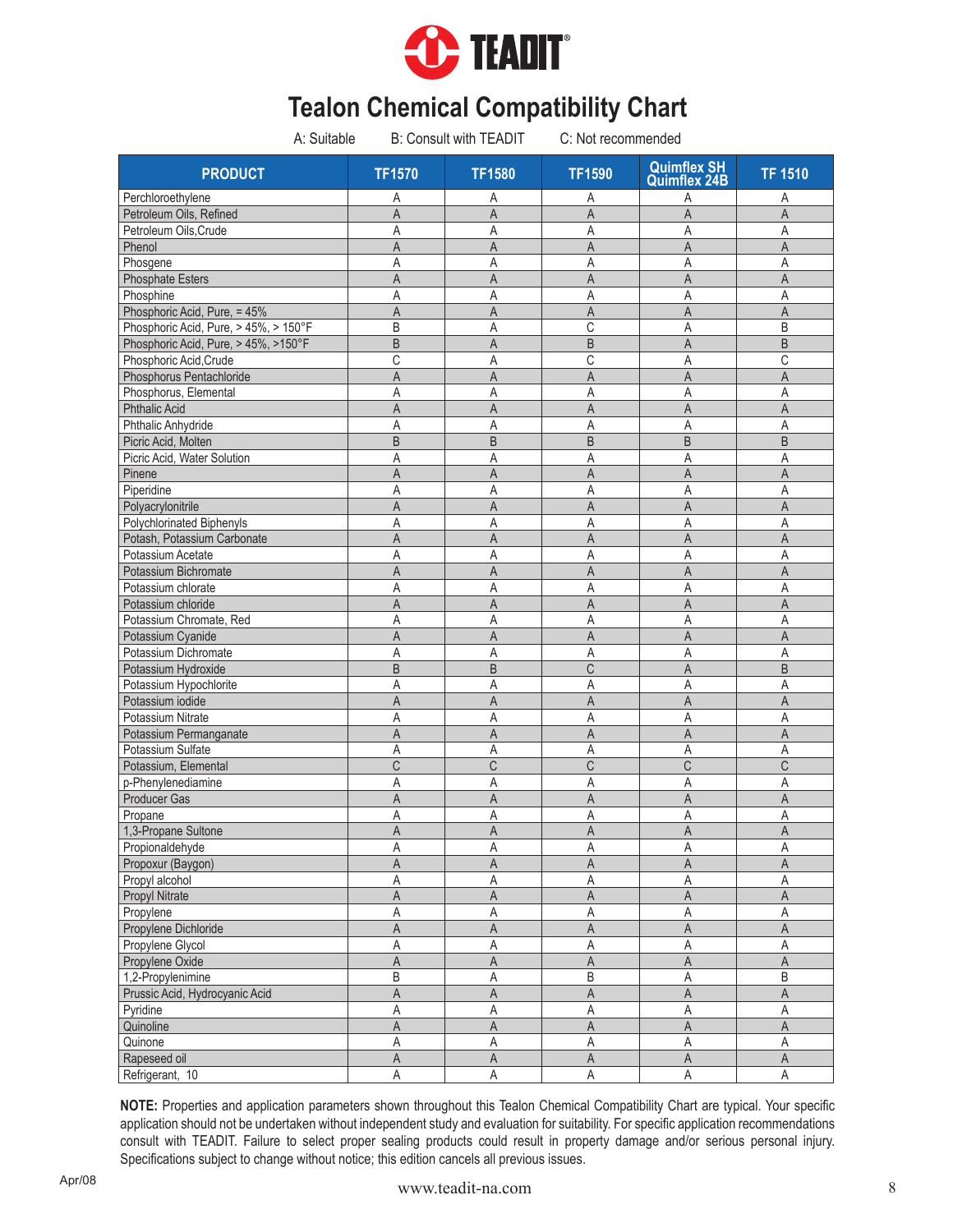

| A: Suitable                               |                         | <b>B: Consult with TEADIT</b> |                  | C: Not recommended                        |                         |
|-------------------------------------------|-------------------------|-------------------------------|------------------|-------------------------------------------|-------------------------|
| <b>PRODUCT</b>                            | <b>TF1570</b>           | <b>TF1580</b>                 | <b>TF1590</b>    | <b>Quimflex SH</b><br><b>Quimflex 24B</b> | <b>TF 1510</b>          |
| Perchloroethylene                         | Α                       | Α                             | Α                | Α                                         | Α                       |
| Petroleum Oils, Refined                   | $\overline{A}$          | $\overline{A}$                | $\overline{A}$   | $\overline{A}$                            | $\overline{A}$          |
| Petroleum Oils, Crude                     | Α                       | Α                             | Α                | Α                                         | Α                       |
| Phenol                                    | A                       | A                             | $\overline{A}$   | A                                         | A                       |
| Phosgene                                  | A                       | A                             | Α                | Α                                         | A                       |
| <b>Phosphate Esters</b>                   | A                       | A                             | A                | A                                         | $\overline{A}$          |
| Phosphine                                 | Α                       | Α                             | A                | Α                                         | Α                       |
| Phosphoric Acid, Pure, = 45%              | A                       | A                             | $\overline{A}$   | A                                         | A                       |
| Phosphoric Acid, Pure, > 45%, > 150°F     | B                       | Α                             | $\overline{C}$   | A                                         | B                       |
| Phosphoric Acid, Pure, > 45%, >150°F      | B                       | A                             | B                | A                                         | $\sf B$                 |
| Phosphoric Acid, Crude                    | С                       | Α                             | C                | Α                                         | C                       |
| Phosphorus Pentachloride                  | A                       | A                             | A                | A                                         | A                       |
| Phosphorus, Elemental                     | Α                       | Α                             | Α                | Α                                         | Α                       |
| <b>Phthalic Acid</b>                      | A                       | A                             | A                | A                                         | $\overline{A}$          |
| Phthalic Anhydride                        | Α                       | Α                             | Α                | Α                                         | Α                       |
| Picric Acid, Molten                       | B                       | B                             | $\sf B$          | B                                         | $\sf B$                 |
| Picric Acid, Water Solution               | Α                       | Α                             | Α                | A                                         | Α                       |
| Pinene                                    | A                       | A                             | A                | $\mathsf A$                               | A                       |
| Piperidine                                | Α                       | Α                             | Α                | Α                                         | $\mathsf{A}$            |
| Polyacrylonitrile                         | A                       | $\overline{A}$                | $\mathsf A$      | $\overline{A}$                            | $\overline{A}$          |
| Polychlorinated Biphenyls                 | Α                       | Α                             | Α                | Α                                         | $\overline{A}$          |
| Potash, Potassium Carbonate               | A                       | A                             | A                | A                                         | $\overline{A}$          |
| Potassium Acetate                         | Α                       | A                             | Α                | A                                         | $\mathsf{A}$            |
| Potassium Bichromate                      | A                       | A                             | $\overline{A}$   | $\overline{A}$                            | $\overline{A}$          |
| Potassium chlorate                        | A                       | A                             | Α                | A                                         | $\overline{A}$          |
| Potassium chloride                        | A                       | A                             | A                | A                                         | $\mathsf A$             |
| Potassium Chromate, Red                   | Α                       | Α                             | Α                | A                                         | $\mathsf{A}$            |
| Potassium Cyanide                         | A                       | A                             | $\overline{A}$   | $\overline{A}$                            | $\overline{A}$          |
| Potassium Dichromate                      | A                       | A                             | Α                | A                                         | A                       |
| Potassium Hydroxide                       | B                       | B                             | $\mathsf C$      | A                                         | B                       |
| Potassium Hypochlorite                    | Α                       | A                             | A                | A                                         | A                       |
| Potassium iodide                          | A                       | $\overline{A}$                | $\overline{A}$   | A                                         | A                       |
| Potassium Nitrate                         | A                       | A                             | A                | A                                         | A                       |
| Potassium Permanganate                    | A                       | A                             | A                | A                                         | $\mathsf{A}$            |
| Potassium Sulfate                         | A                       | A                             | Α                | Α                                         | A                       |
| Potassium, Elemental                      | C                       | C                             | $\mathsf C$      | C                                         | $\overline{C}$          |
|                                           | Α                       | Α                             | Α                | Α                                         | Α                       |
| p-Phenylenediamine<br><b>Producer Gas</b> | A                       | A                             | A                | A                                         | A                       |
|                                           | Α                       |                               |                  |                                           |                         |
| Propane                                   |                         | Α                             | Α<br>$\mathsf A$ | A                                         | Α<br>A                  |
| 1,3-Propane Sultone                       | A                       | A                             |                  | $\mathsf{A}$                              |                         |
| Propionaldehyde                           | Α                       | Α                             | Α                | A                                         | $\mathsf A$             |
| Propoxur (Baygon)                         | Α                       | Α                             | Α                | Α                                         | Α                       |
| Propyl alcohol                            | Α                       | $\mathsf A$                   | Α                | A                                         | Α                       |
| Propyl Nitrate                            | A                       | A                             | A                | Α                                         | A                       |
| Propylene                                 | Α                       | Α                             | A                | A                                         | $\mathsf{A}$            |
| Propylene Dichloride                      | Α                       | Α                             | $\mathsf A$      | A                                         | $\mathsf{A}$            |
| Propylene Glycol                          | Α                       | $\sf A$                       | $\mathsf A$      | A                                         | $\overline{\mathsf{A}}$ |
| Propylene Oxide                           | A                       | $\mathsf A$                   | $\mathsf A$      | A                                         | $\mathsf A$             |
| 1,2-Propylenimine                         | B                       | $\mathsf A$                   | B                | A                                         | $\sf B$                 |
| Prussic Acid, Hydrocyanic Acid            | A                       | A                             | $\mathsf A$      | A                                         | A                       |
| Pyridine                                  | Α                       | A                             | $\mathsf A$      | A                                         | $\mathsf A$             |
| Quinoline                                 | $\overline{\mathsf{A}}$ | $\overline{A}$                | $\overline{A}$   | $\overline{\mathsf{A}}$                   | $\overline{A}$          |
| Quinone                                   | Α                       | Α                             | Α                | A                                         | $\mathsf A$             |
| Rapeseed oil                              | $\mathsf A$             | $\mathsf A$                   | $\mathsf A$      | $\mathsf A$                               | $\mathsf A$             |
| Refrigerant, 10                           | A                       | A                             | A                | $\mathsf A$                               | $\overline{\mathsf{A}}$ |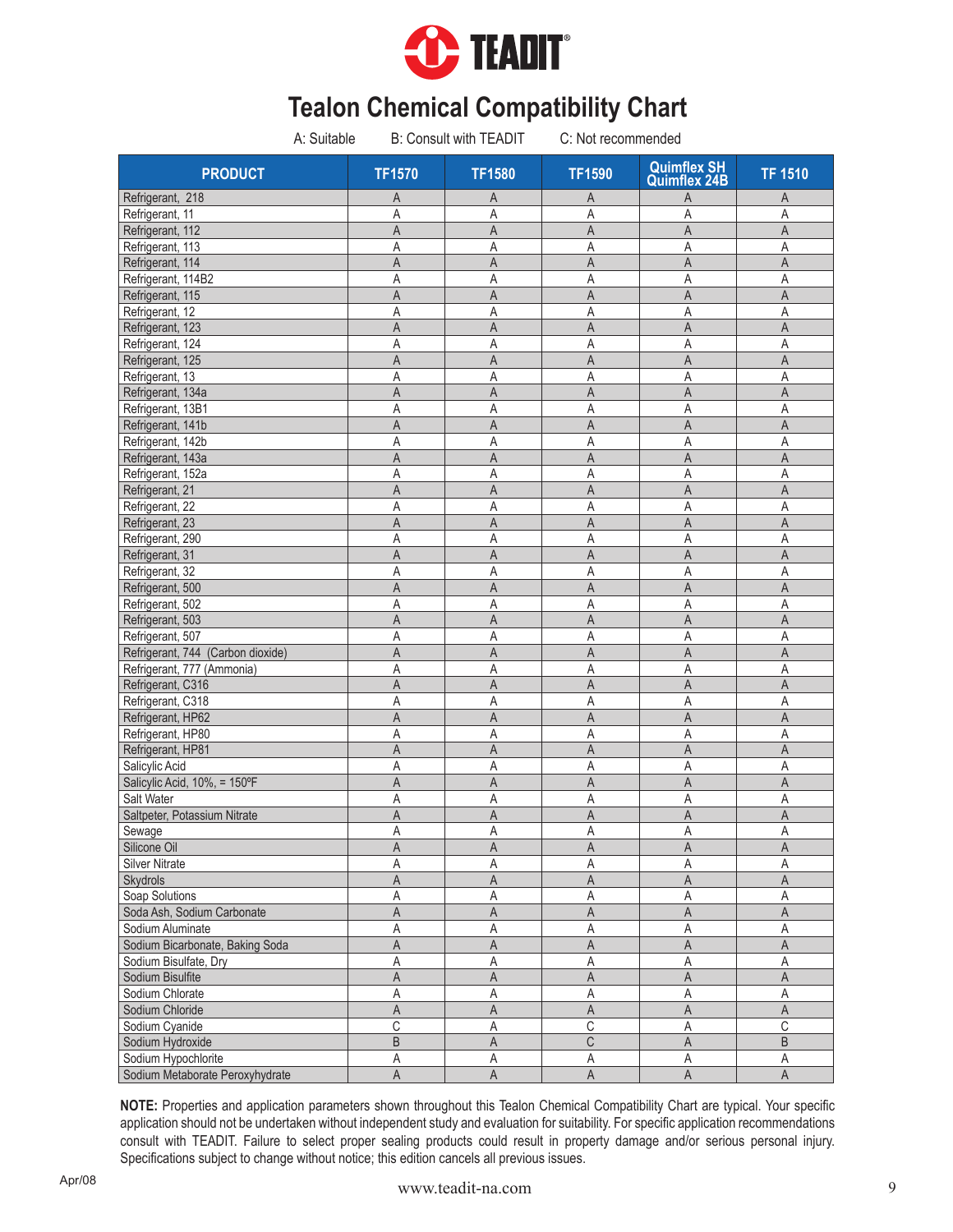

| A: Suitable                       |                         | <b>B: Consult with TEADIT</b> | C: Not recommended |                                           |                         |
|-----------------------------------|-------------------------|-------------------------------|--------------------|-------------------------------------------|-------------------------|
| <b>PRODUCT</b>                    | <b>TF1570</b>           | <b>TF1580</b>                 | <b>TF1590</b>      | <b>Quimflex SH</b><br><b>Quimflex 24B</b> | <b>TF 1510</b>          |
| Refrigerant, 218                  | Α                       | A                             | A                  | A                                         | Α                       |
| Refrigerant, 11                   | Α                       | A                             | Α                  | A                                         | A                       |
| Refrigerant, 112                  | A                       | A                             | A                  | A                                         | A                       |
| Refrigerant, 113                  | Α                       | Α                             | Α                  | A                                         | Α                       |
| Refrigerant, 114                  | A                       | $\overline{A}$                | A                  | A                                         | A                       |
| Refrigerant, 114B2                | Α                       | Α                             | Α                  | A                                         | A                       |
| Refrigerant, 115                  | A                       | A                             | A                  | A                                         | A                       |
| Refrigerant, 12                   | Α                       | Α                             | A                  | A                                         | Α                       |
| Refrigerant, 123                  | A                       | $\mathsf{A}$                  | A                  | $\overline{A}$                            | A                       |
| Refrigerant, 124                  | A                       | A                             | Α                  | A                                         | A                       |
| Refrigerant, 125                  | A                       | A                             | Α                  | A                                         | A                       |
| Refrigerant, 13                   | Α                       | Α                             | A                  | A                                         | Α                       |
| Refrigerant, 134a                 | A                       | A                             | A                  | A                                         | A                       |
| Refrigerant, 13B1                 | A                       | Α                             | Α                  | A                                         | A                       |
| Refrigerant, 141b                 | Α                       | A                             | A                  | A                                         | Α                       |
| Refrigerant, 142b                 | Α                       | Α                             | Α                  | A                                         | Α                       |
| Refrigerant, 143a                 | A                       | A                             | A                  | A                                         | A                       |
| Refrigerant, 152a                 | A                       | Α                             | Α                  | A                                         | Α                       |
| Refrigerant, 21                   | Α                       | A                             | A                  | A                                         | A                       |
| Refrigerant, 22                   | Α                       | Α                             | Α                  | Α                                         | $\overline{A}$          |
| Refrigerant, 23                   | A                       | A                             | A                  | $\overline{A}$                            | A                       |
| Refrigerant, 290                  | Α                       | Α                             | Α                  | A                                         | A                       |
| Refrigerant, 31                   |                         |                               |                    |                                           | A                       |
|                                   | A                       | A                             | A                  | A                                         | $\overline{A}$          |
| Refrigerant, 32                   | Α                       | A                             | Α                  | A                                         |                         |
| Refrigerant, 500                  | A                       | $\mathsf{A}$                  | $\overline{A}$     | A                                         | A                       |
| Refrigerant, 502                  | Α                       | Α                             | Α                  | A                                         | A                       |
| Refrigerant, 503                  | A                       | A                             | A                  | $\overline{A}$                            | A                       |
| Refrigerant, 507                  | Α                       | Α                             | Α                  | A                                         | A                       |
| Refrigerant, 744 (Carbon dioxide) | $\overline{A}$          | $\mathsf{A}$                  | $\overline{A}$     | $\overline{A}$                            | $\overline{A}$          |
| Refrigerant, 777 (Ammonia)        | Α                       | Α                             | Α                  | A                                         | A                       |
| Refrigerant, C316                 | A                       | A                             | A                  | $\overline{A}$                            | $\mathsf A$             |
| Refrigerant, C318                 | Α                       | Α                             | Α                  | A                                         | Α                       |
| Refrigerant, HP62                 | A                       | A                             | A                  | A                                         | A                       |
| Refrigerant, HP80                 | Α                       | Α                             | A                  | A                                         | Α                       |
| Refrigerant, HP81                 | A                       | $\mathsf{A}$                  | A                  | $\overline{A}$                            | A                       |
| Salicylic Acid                    | Α                       | Α                             | Α                  | A                                         | Α                       |
| Salicylic Acid, 10%, = 150°F      | A                       | A                             | A                  | A                                         | A                       |
| Salt Water                        | Α                       | Α                             | Α                  | Α                                         | Α                       |
| Saltpeter, Potassium Nitrate      | A                       | A                             | A                  | A                                         | A                       |
| Sewage                            | A                       | A                             | Α                  | $\mathsf A$                               | $\mathsf A$             |
| Silicone Oil                      | A                       | $\mathsf A$                   | $\mathsf A$        | $\mathsf A$                               | $\mathsf A$             |
| <b>Silver Nitrate</b>             | Α                       | Α                             | Α                  | Α                                         | А                       |
| Skydrols                          | A                       | A                             | A                  | $\mathsf A$                               | A                       |
| Soap Solutions                    | Α                       | Α                             | Α                  | A                                         | $\mathsf A$             |
| Soda Ash, Sodium Carbonate        | A                       | $\mathsf A$                   | A                  | $\mathsf A$                               | $\mathsf A$             |
| Sodium Aluminate                  | Α                       | Α                             | Α                  | Α                                         | A                       |
| Sodium Bicarbonate, Baking Soda   | $\overline{\mathsf{A}}$ | $\mathsf A$                   | $\mathsf A$        | $\mathsf A$                               | $\mathsf A$             |
| Sodium Bisulfate, Dry             | A                       | $\mathsf A$                   | A                  | A                                         | $\mathsf A$             |
| Sodium Bisulfite                  | A                       | $\mathsf A$                   | A                  | $\mathsf A$                               | $\mathsf A$             |
| Sodium Chlorate                   | Α                       | $\mathsf A$                   | Α                  | Α                                         | $\mathsf A$             |
| Sodium Chloride                   | $\overline{A}$          | $\mathsf{A}$                  | A                  | $\overline{A}$                            | $\overline{A}$          |
| Sodium Cyanide                    | C                       | Α                             | $\overline{C}$     | A                                         | $\overline{C}$          |
| Sodium Hydroxide                  | $\overline{B}$          | $\mathsf A$                   | $\mathsf C$        | $\mathsf A$                               | $\overline{\mathsf{B}}$ |
| Sodium Hypochlorite               | Α                       | Α                             | Α                  | Α                                         | Α                       |
| Sodium Metaborate Peroxyhydrate   | $\overline{A}$          | $\overline{A}$                | A                  | $\overline{A}$                            | $\overline{A}$          |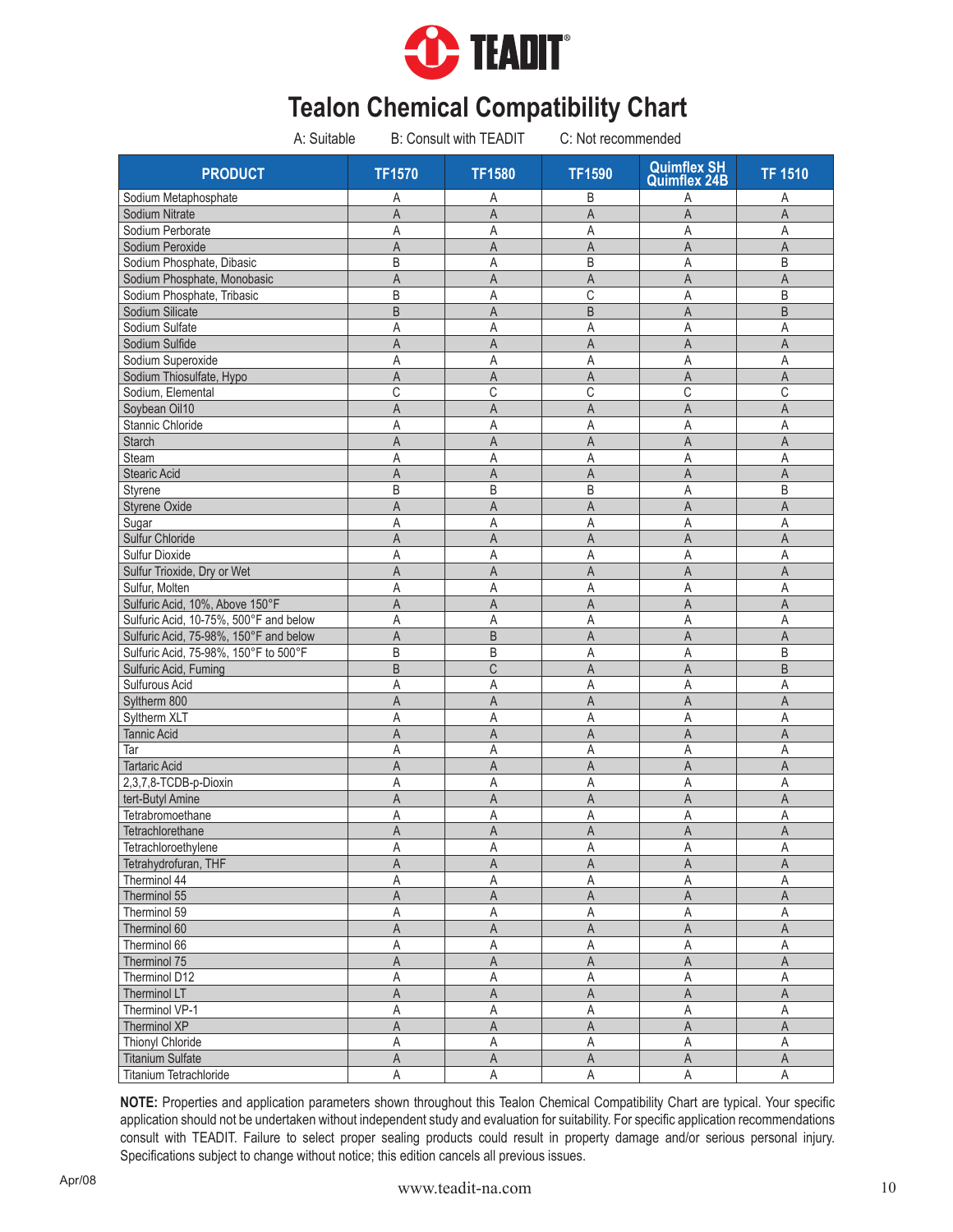

| A: Suitable                            | <b>B: Consult with TEADIT</b> |                | C: Not recommended      |                                           |                |  |
|----------------------------------------|-------------------------------|----------------|-------------------------|-------------------------------------------|----------------|--|
| <b>PRODUCT</b>                         | <b>TF1570</b>                 | <b>TF1580</b>  | <b>TF1590</b>           | <b>Quimflex SH</b><br><b>Quimflex 24B</b> | <b>TF 1510</b> |  |
| Sodium Metaphosphate                   | Α                             | Α              | B                       | Α                                         | Α              |  |
| Sodium Nitrate                         | A                             | $\overline{A}$ | $\overline{A}$          | $\overline{A}$                            | $\overline{A}$ |  |
| Sodium Perborate                       | Α                             | Α              | Α                       | Α                                         | Α              |  |
| Sodium Peroxide                        | A                             | A              | A                       | $\overline{A}$                            | A              |  |
| Sodium Phosphate, Dibasic              | B                             | A              | B                       | A                                         | B              |  |
| Sodium Phosphate, Monobasic            | A                             | A              | A                       | $\overline{A}$                            | $\overline{A}$ |  |
| Sodium Phosphate, Tribasic             | B                             | A              | С                       | A                                         | B              |  |
| Sodium Silicate                        | $\overline{B}$                | $\mathsf{A}$   | B                       | $\overline{A}$                            | B              |  |
| Sodium Sulfate                         | Α                             | A              | A                       | A                                         | Α              |  |
| Sodium Sulfide                         | A                             | A              | A                       | A                                         | A              |  |
| Sodium Superoxide                      | Α                             | Α              | Α                       | Α                                         | Α              |  |
| Sodium Thiosulfate, Hypo               | A                             | A              | A                       | A                                         | A              |  |
| Sodium, Elemental                      | C                             | C              | С                       | C                                         | $\overline{C}$ |  |
| Soybean Oil10                          | A                             | A              | A                       | A                                         | A              |  |
| Stannic Chloride                       | Α                             | Α              | Α                       | Α                                         | Α              |  |
| <b>Starch</b>                          | A                             | A              | $\overline{A}$          | $\overline{A}$                            | $\mathsf A$    |  |
| Steam                                  | Α                             | Α              | Α                       | A                                         | Α              |  |
| <b>Stearic Acid</b>                    | A                             | A              | A                       | A                                         | A              |  |
| Styrene                                | B                             | B              | B                       | A                                         | B              |  |
| <b>Styrene Oxide</b>                   | A                             | $\mathsf{A}$   | A                       | A                                         | A              |  |
| Sugar                                  | Α                             | Α              | Α                       | A                                         | $\overline{A}$ |  |
| Sulfur Chloride                        | A                             | A              | A                       | A                                         | $\mathsf{A}$   |  |
| <b>Sulfur Dioxide</b>                  | Α                             | Α              | Α                       | Α                                         | A              |  |
| Sulfur Trioxide, Dry or Wet            | A                             | $\mathsf{A}$   | $\overline{A}$          | $\overline{A}$                            | $\mathsf A$    |  |
| Sulfur, Molten                         | A                             | Α              | A                       | A                                         | A              |  |
| Sulfuric Acid, 10%, Above 150°F        | A                             | $\overline{A}$ | A                       | A                                         | A              |  |
| Sulfuric Acid, 10-75%, 500°F and below | Α                             | Α              | Α                       | A                                         | A              |  |
| Sulfuric Acid, 75-98%, 150°F and below | $\overline{A}$                | B              | A                       | $\overline{A}$                            | $\overline{A}$ |  |
|                                        |                               |                |                         |                                           | $\mathsf B$    |  |
| Sulfuric Acid, 75-98%, 150°F to 500°F  | B                             | B              | A                       | A                                         |                |  |
| Sulfuric Acid, Fuming                  | B                             | C              | A                       | A                                         | B              |  |
| Sulfurous Acid                         | Α                             | A              | A                       | A                                         | A              |  |
| Syltherm 800                           | $\overline{A}$                | $\overline{A}$ | $\overline{A}$          | $\overline{A}$                            | A              |  |
| Syltherm XLT                           | A                             | A              | A                       | A                                         | A              |  |
| <b>Tannic Acid</b>                     | A                             | A              | $\overline{A}$          | A                                         | A              |  |
| Tar                                    | Α                             | Α              | A                       | A                                         | A              |  |
| <b>Tartaric Acid</b>                   | A                             | A              | A                       | A                                         | A              |  |
| 2,3,7,8-TCDB-p-Dioxin                  | Α                             | Α              | Α                       | A                                         | Α              |  |
| tert-Butyl Amine                       | Α                             | A              | A                       | A                                         | A              |  |
| Tetrabromoethane                       | Α                             | Α              | Α                       | A                                         | Α              |  |
| Tetrachlorethane                       | A                             | $\mathsf A$    | $\overline{\mathsf{A}}$ | $\mathsf{A}$                              | A              |  |
| Tetrachloroethylene                    | Α                             | Α              | Α                       | Α                                         | $\mathsf A$    |  |
| Tetrahydrofuran, THF                   | Α                             | A              | Α                       | A                                         | Α              |  |
| Therminol 44                           | Α                             | Α              | Α                       | Α                                         | $\mathsf A$    |  |
| Therminol 55                           | A                             | A              | A                       | A                                         | A              |  |
| Therminol 59                           | Α                             | Α              | Α                       | Α                                         | A              |  |
| Therminol 60                           | Α                             | A              | Α                       | A                                         | $\mathsf A$    |  |
| Therminol 66                           | Α                             | A              | Α                       | A                                         | $\sf A$        |  |
| Therminol 75                           | A                             | $\mathsf A$    | A                       | $\mathsf A$                               | $\overline{A}$ |  |
| Therminol D12                          | Α                             | $\mathsf A$    | Α                       | A                                         | $\mathsf A$    |  |
| Therminol LT                           | A                             | A              | A                       | A                                         | A              |  |
| Therminol VP-1                         | Α                             | A              | Α                       | Α                                         | $\mathsf A$    |  |
| Therminol XP                           | $\overline{\mathsf{A}}$       | $\mathsf{A}$   | A                       | $\overline{A}$                            | $\overline{A}$ |  |
| Thionyl Chloride                       | Α                             | Α              | Α                       | A                                         | $\mathsf A$    |  |
| <b>Titanium Sulfate</b>                | A                             | $\mathsf A$    | A                       | $\mathsf A$                               | $\mathsf A$    |  |
| Titanium Tetrachloride                 | A                             | A              | Α                       | $\mathsf A$                               | A              |  |